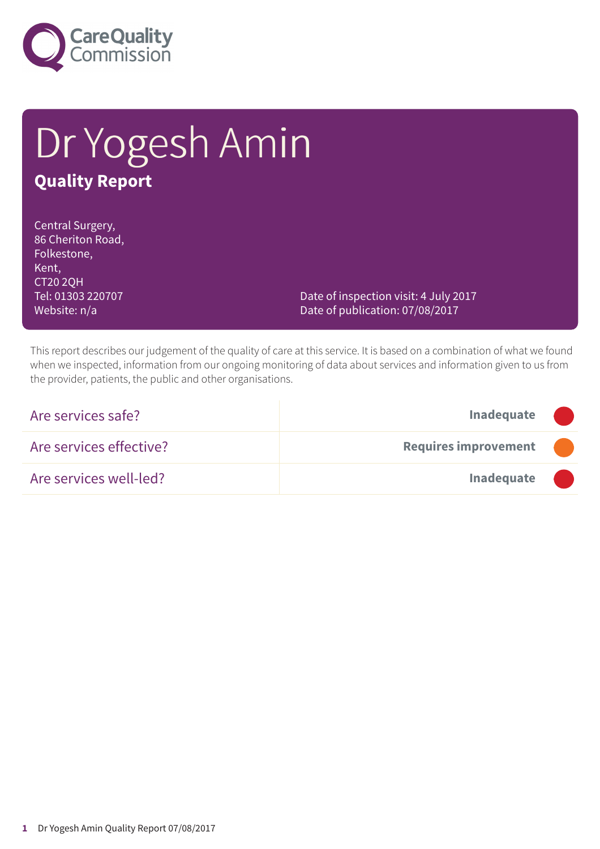

# Dr Yogesh Amin **Quality Report**

Central Surgery, 86 Cheriton Road, Folkestone, Kent, CT20 2QH Tel: 01303 220707 Website: n/a

Date of inspection visit: 4 July 2017 Date of publication: 07/08/2017

This report describes our judgement of the quality of care at this service. It is based on a combination of what we found when we inspected, information from our ongoing monitoring of data about services and information given to us from the provider, patients, the public and other organisations.

| Are services safe?      | <b>Inadequate</b>           |  |
|-------------------------|-----------------------------|--|
| Are services effective? | <b>Requires improvement</b> |  |
| Are services well-led?  | Inadequate                  |  |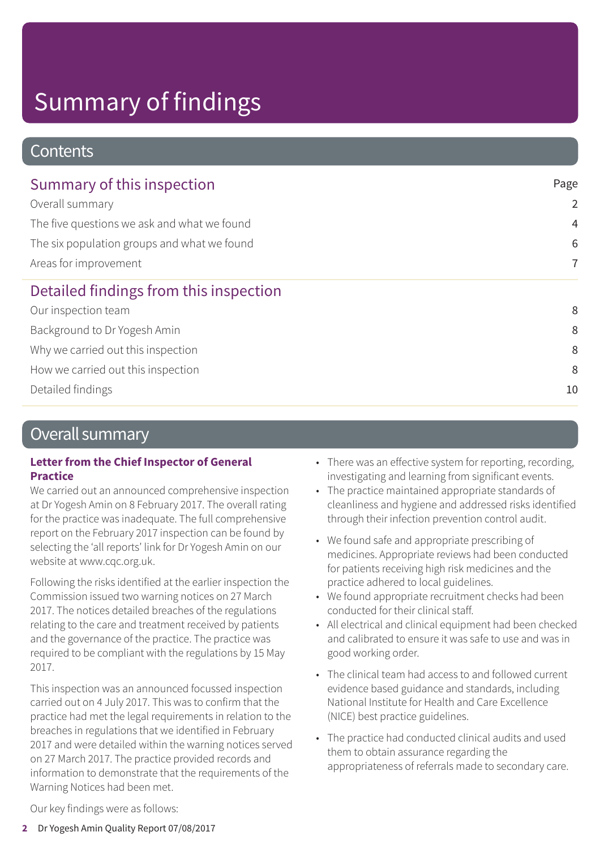### **Contents**

| Summary of this inspection                  | Page           |
|---------------------------------------------|----------------|
| Overall summary                             | $\overline{2}$ |
| The five questions we ask and what we found | $\overline{4}$ |
| The six population groups and what we found | 6              |
| Areas for improvement                       | $\overline{7}$ |
| Detailed findings from this inspection      |                |
| Our inspection team                         | 8              |
| Background to Dr Yogesh Amin                | 8              |
| Why we carried out this inspection          | 8              |
| How we carried out this inspection          | 8              |
| Detailed findings                           | 10             |

### Overall summary

#### **Letter from the Chief Inspector of General Practice**

We carried out an announced comprehensive inspection at Dr Yogesh Amin on 8 February 2017. The overall rating for the practice was inadequate. The full comprehensive report on the February 2017 inspection can be found by selecting the 'all reports' link for Dr Yogesh Amin on our website at www.cqc.org.uk.

Following the risks identified at the earlier inspection the Commission issued two warning notices on 27 March 2017. The notices detailed breaches of the regulations relating to the care and treatment received by patients and the governance of the practice. The practice was required to be compliant with the regulations by 15 May 2017.

This inspection was an announced focussed inspection carried out on 4 July 2017. This was to confirm that the practice had met the legal requirements in relation to the breaches in regulations that we identified in February 2017 and were detailed within the warning notices served on 27 March 2017. The practice provided records and information to demonstrate that the requirements of the Warning Notices had been met.

- There was an effective system for reporting, recording, investigating and learning from significant events.
- The practice maintained appropriate standards of cleanliness and hygiene and addressed risks identified through their infection prevention control audit.
- We found safe and appropriate prescribing of medicines. Appropriate reviews had been conducted for patients receiving high risk medicines and the practice adhered to local guidelines.
- We found appropriate recruitment checks had been conducted for their clinical staff.
- All electrical and clinical equipment had been checked and calibrated to ensure it was safe to use and was in good working order.
- The clinical team had access to and followed current evidence based guidance and standards, including National Institute for Health and Care Excellence (NICE) best practice guidelines.
- The practice had conducted clinical audits and used them to obtain assurance regarding the appropriateness of referrals made to secondary care.

Our key findings were as follows: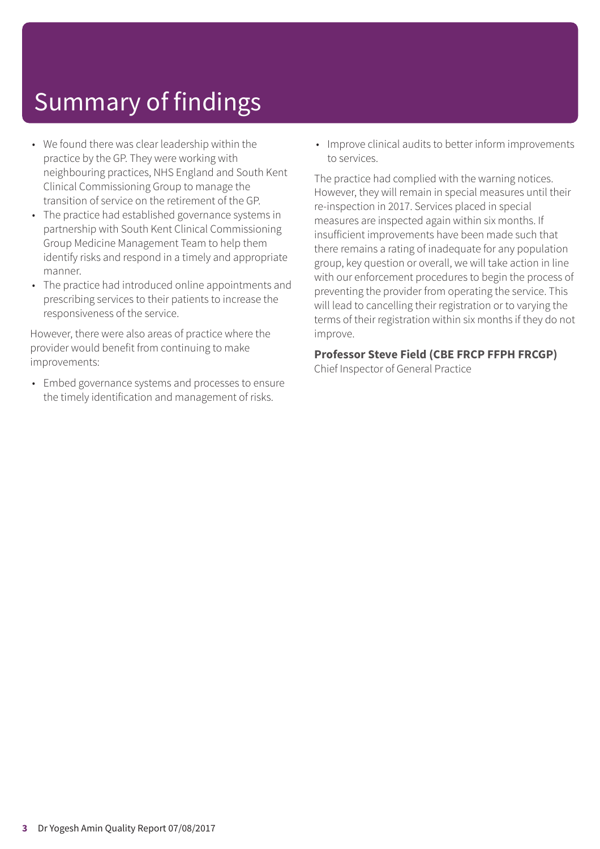- We found there was clear leadership within the practice by the GP. They were working with neighbouring practices, NHS England and South Kent Clinical Commissioning Group to manage the transition of service on the retirement of the GP.
- The practice had established governance systems in partnership with South Kent Clinical Commissioning Group Medicine Management Team to help them identify risks and respond in a timely and appropriate manner.
- The practice had introduced online appointments and prescribing services to their patients to increase the responsiveness of the service.

However, there were also areas of practice where the provider would benefit from continuing to make improvements:

• Embed governance systems and processes to ensure the timely identification and management of risks.

• Improve clinical audits to better inform improvements to services.

The practice had complied with the warning notices. However, they will remain in special measures until their re-inspection in 2017. Services placed in special measures are inspected again within six months. If insufficient improvements have been made such that there remains a rating of inadequate for any population group, key question or overall, we will take action in line with our enforcement procedures to begin the process of preventing the provider from operating the service. This will lead to cancelling their registration or to varying the terms of their registration within six months if they do not improve.

#### **Professor Steve Field (CBE FRCP FFPH FRCGP)**

Chief Inspector of General Practice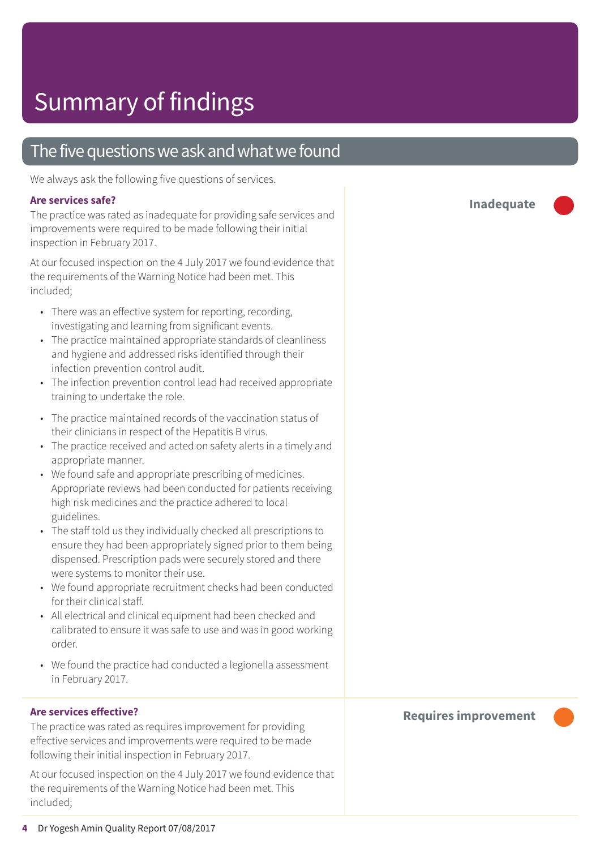### The five questions we ask and what we found

We always ask the following five questions of services.

#### **Are services safe?**

The practice was rated as inadequate for providing safe services and improvements were required to be made following their initial inspection in February 2017.

At our focused inspection on the 4 July 2017 we found evidence that the requirements of the Warning Notice had been met. This included;

- There was an effective system for reporting, recording, investigating and learning from significant events.
- The practice maintained appropriate standards of cleanliness and hygiene and addressed risks identified through their infection prevention control audit.
- The infection prevention control lead had received appropriate training to undertake the role.
- The practice maintained records of the vaccination status of their clinicians in respect of the Hepatitis B virus.
- The practice received and acted on safety alerts in a timely and appropriate manner.
- We found safe and appropriate prescribing of medicines. Appropriate reviews had been conducted for patients receiving high risk medicines and the practice adhered to local guidelines.
- The staff told us they individually checked all prescriptions to ensure they had been appropriately signed prior to them being dispensed. Prescription pads were securely stored and there were systems to monitor their use.
- We found appropriate recruitment checks had been conducted for their clinical staff.
- All electrical and clinical equipment had been checked and calibrated to ensure it was safe to use and was in good working order.
- We found the practice had conducted a legionella assessment in February 2017.

#### **Are services effective?**

The practice was rated as requires improvement for providing effective services and improvements were required to be made following their initial inspection in February 2017.

At our focused inspection on the 4 July 2017 we found evidence that the requirements of the Warning Notice had been met. This included;

**Inadequate –––**

#### **Requires improvement –––**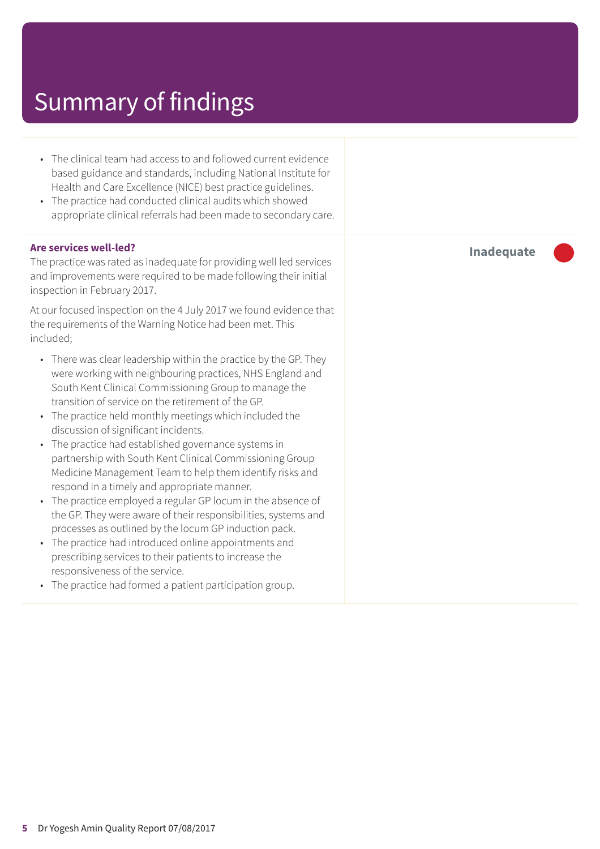- The clinical team had access to and followed current evidence based guidance and standards, including National Institute for Health and Care Excellence (NICE) best practice guidelines.
- The practice had conducted clinical audits which showed appropriate clinical referrals had been made to secondary care.

#### **Are services well-led?**

The practice was rated as inadequate for providing well led services and improvements were required to be made following their initial inspection in February 2017.

At our focused inspection on the 4 July 2017 we found evidence that the requirements of the Warning Notice had been met. This included;

- There was clear leadership within the practice by the GP. They were working with neighbouring practices, NHS England and South Kent Clinical Commissioning Group to manage the transition of service on the retirement of the GP.
- The practice held monthly meetings which included the discussion of significant incidents.
- The practice had established governance systems in partnership with South Kent Clinical Commissioning Group Medicine Management Team to help them identify risks and respond in a timely and appropriate manner.
- The practice employed a regular GP locum in the absence of the GP. They were aware of their responsibilities, systems and processes as outlined by the locum GP induction pack.
- The practice had introduced online appointments and prescribing services to their patients to increase the responsiveness of the service.
- The practice had formed a patient participation group.

**Inadequate –––**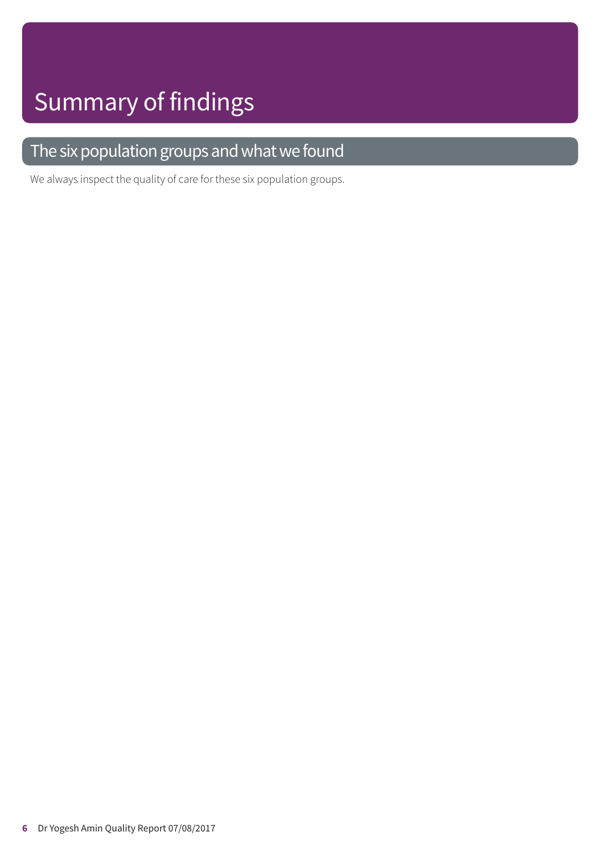### The six population groups and what we found

We always inspect the quality of care for these six population groups.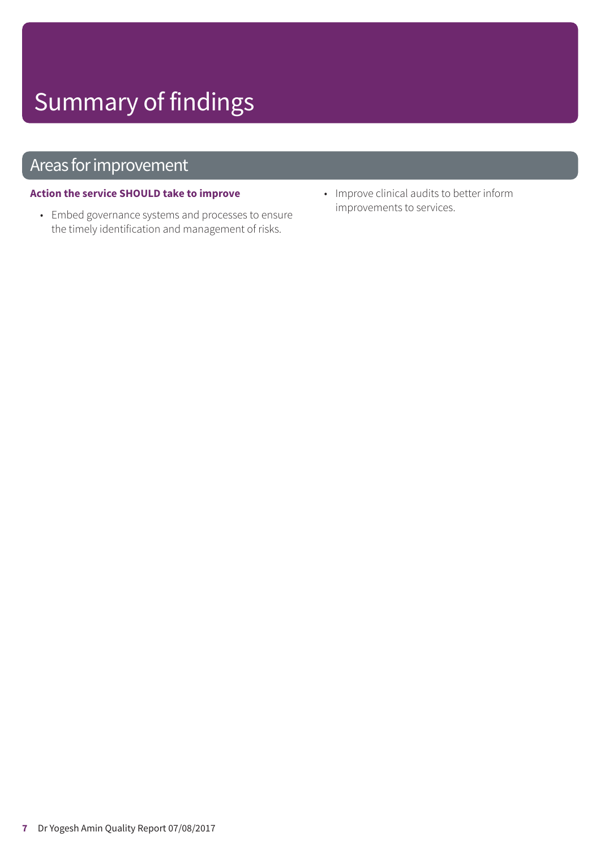### Areas for improvement

### **Action the service SHOULD take to improve**

- Embed governance systems and processes to ensure the timely identification and management of risks.
- Improve clinical audits to better inform improvements to services.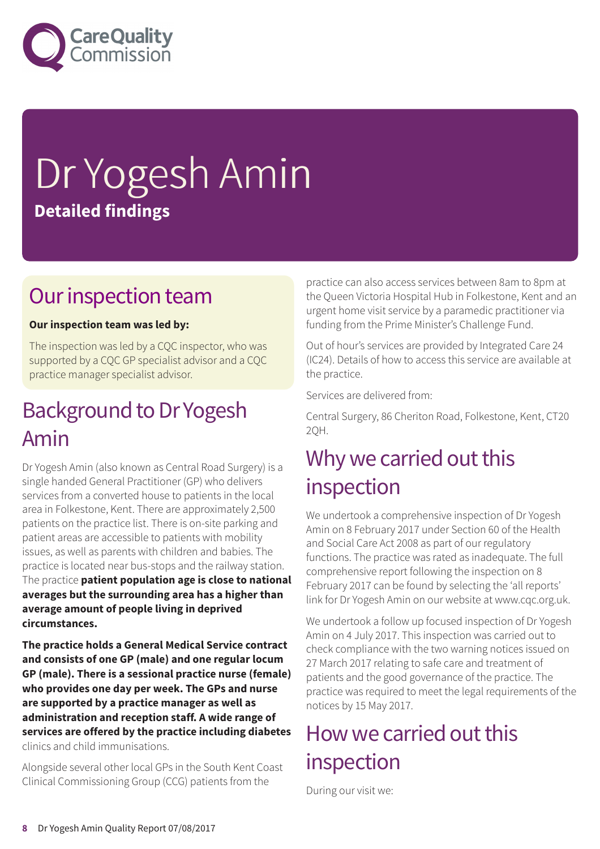

# Dr Yogesh Amin **Detailed findings**

### Our inspection team

### **Our inspection team was led by:**

The inspection was led by a CQC inspector, who was supported by a CQC GP specialist advisor and a CQC practice manager specialist advisor.

### Background to Dr Yogesh Amin

Dr Yogesh Amin (also known as Central Road Surgery) is a single handed General Practitioner (GP) who delivers services from a converted house to patients in the local area in Folkestone, Kent. There are approximately 2,500 patients on the practice list. There is on-site parking and patient areas are accessible to patients with mobility issues, as well as parents with children and babies. The practice is located near bus-stops and the railway station. The practice **patient population age is close to national averages but the surrounding area has a higher than average amount of people living in deprived circumstances.**

**The practice holds a General Medical Service contract and consists of one GP (male) and one regular locum GP (male). There is a sessional practice nurse (female) who provides one day per week. The GPs and nurse are supported by a practice manager as well as administration and reception staff. A wide range of services are offered by the practice including diabetes** clinics and child immunisations.

Alongside several other local GPs in the South Kent Coast Clinical Commissioning Group (CCG) patients from the

practice can also access services between 8am to 8pm at the Queen Victoria Hospital Hub in Folkestone, Kent and an urgent home visit service by a paramedic practitioner via funding from the Prime Minister's Challenge Fund.

Out of hour's services are provided by Integrated Care 24 (IC24). Details of how to access this service are available at the practice.

Services are delivered from:

Central Surgery, 86 Cheriton Road, Folkestone, Kent, CT20 2QH.

### Why we carried out this inspection

We undertook a comprehensive inspection of Dr Yogesh Amin on 8 February 2017 under Section 60 of the Health and Social Care Act 2008 as part of our regulatory functions. The practice was rated as inadequate. The full comprehensive report following the inspection on 8 February 2017 can be found by selecting the 'all reports' link for Dr Yogesh Amin on our website at www.cqc.org.uk.

We undertook a follow up focused inspection of Dr Yogesh Amin on 4 July 2017. This inspection was carried out to check compliance with the two warning notices issued on 27 March 2017 relating to safe care and treatment of patients and the good governance of the practice. The practice was required to meet the legal requirements of the notices by 15 May 2017.

### How we carried out this inspection

During our visit we: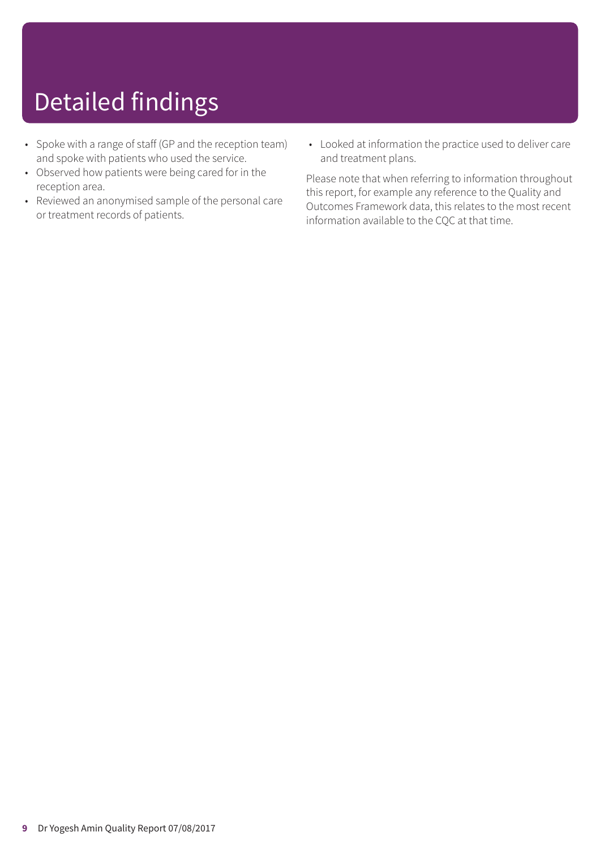# Detailed findings

- Spoke with a range of staff (GP and the reception team) and spoke with patients who used the service.
- Observed how patients were being cared for in the reception area.
- Reviewed an anonymised sample of the personal care or treatment records of patients.
- Looked at information the practice used to deliver care and treatment plans.

Please note that when referring to information throughout this report, for example any reference to the Quality and Outcomes Framework data, this relates to the most recent information available to the CQC at that time.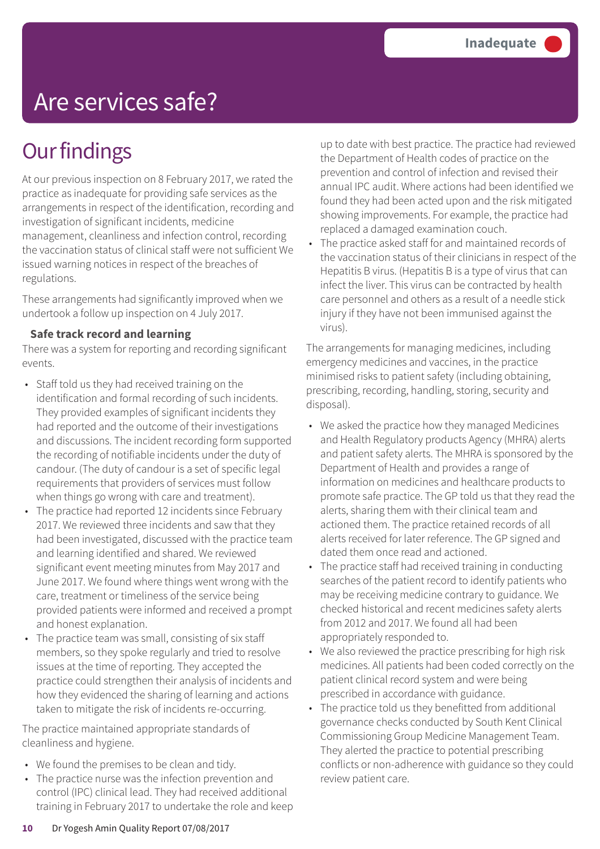## Are services safe?

## **Our findings**

At our previous inspection on 8 February 2017, we rated the practice as inadequate for providing safe services as the arrangements in respect of the identification, recording and investigation of significant incidents, medicine management, cleanliness and infection control, recording the vaccination status of clinical staff were not sufficient We issued warning notices in respect of the breaches of regulations.

These arrangements had significantly improved when we undertook a follow up inspection on 4 July 2017.

#### **Safe track record and learning**

There was a system for reporting and recording significant events.

- Staff told us they had received training on the identification and formal recording of such incidents. They provided examples of significant incidents they had reported and the outcome of their investigations and discussions. The incident recording form supported the recording of notifiable incidents under the duty of candour. (The duty of candour is a set of specific legal requirements that providers of services must follow when things go wrong with care and treatment).
- The practice had reported 12 incidents since February 2017. We reviewed three incidents and saw that they had been investigated, discussed with the practice team and learning identified and shared. We reviewed significant event meeting minutes from May 2017 and June 2017. We found where things went wrong with the care, treatment or timeliness of the service being provided patients were informed and received a prompt and honest explanation.
- The practice team was small, consisting of six staff members, so they spoke regularly and tried to resolve issues at the time of reporting. They accepted the practice could strengthen their analysis of incidents and how they evidenced the sharing of learning and actions taken to mitigate the risk of incidents re-occurring.

The practice maintained appropriate standards of cleanliness and hygiene.

- We found the premises to be clean and tidy.
- The practice nurse was the infection prevention and control (IPC) clinical lead. They had received additional training in February 2017 to undertake the role and keep

up to date with best practice. The practice had reviewed the Department of Health codes of practice on the prevention and control of infection and revised their annual IPC audit. Where actions had been identified we found they had been acted upon and the risk mitigated showing improvements. For example, the practice had replaced a damaged examination couch.

The practice asked staff for and maintained records of the vaccination status of their clinicians in respect of the Hepatitis B virus. (Hepatitis B is a type of virus that can infect the liver. This virus can be contracted by health care personnel and others as a result of a needle stick injury if they have not been immunised against the virus).

The arrangements for managing medicines, including emergency medicines and vaccines, in the practice minimised risks to patient safety (including obtaining, prescribing, recording, handling, storing, security and disposal).

- We asked the practice how they managed Medicines and Health Regulatory products Agency (MHRA) alerts and patient safety alerts. The MHRA is sponsored by the Department of Health and provides a range of information on medicines and healthcare products to promote safe practice. The GP told us that they read the alerts, sharing them with their clinical team and actioned them. The practice retained records of all alerts received for later reference. The GP signed and dated them once read and actioned.
- The practice staff had received training in conducting searches of the patient record to identify patients who may be receiving medicine contrary to guidance. We checked historical and recent medicines safety alerts from 2012 and 2017. We found all had been appropriately responded to.
- We also reviewed the practice prescribing for high risk medicines. All patients had been coded correctly on the patient clinical record system and were being prescribed in accordance with guidance.
- The practice told us they benefitted from additional governance checks conducted by South Kent Clinical Commissioning Group Medicine Management Team. They alerted the practice to potential prescribing conflicts or non-adherence with guidance so they could review patient care.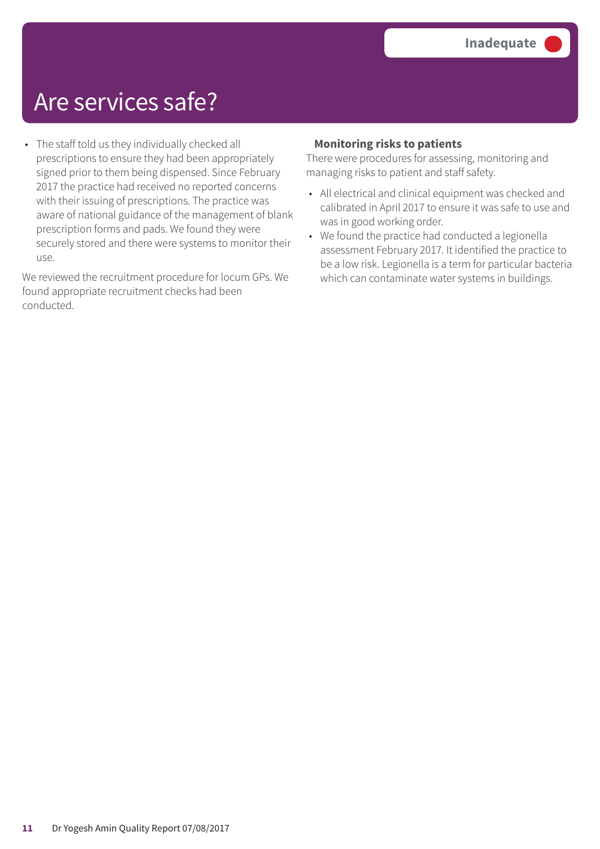## Are services safe?

• The staff told us they individually checked all prescriptions to ensure they had been appropriately signed prior to them being dispensed. Since February 2017 the practice had received no reported concerns with their issuing of prescriptions. The practice was aware of national guidance of the management of blank prescription forms and pads. We found they were securely stored and there were systems to monitor their use.

We reviewed the recruitment procedure for locum GPs. We found appropriate recruitment checks had been conducted.

### **Monitoring risks to patients**

There were procedures for assessing, monitoring and managing risks to patient and staff safety.

- All electrical and clinical equipment was checked and calibrated in April 2017 to ensure it was safe to use and was in good working order.
- We found the practice had conducted a legionella assessment February 2017. It identified the practice to be a low risk. Legionella is a term for particular bacteria which can contaminate water systems in buildings.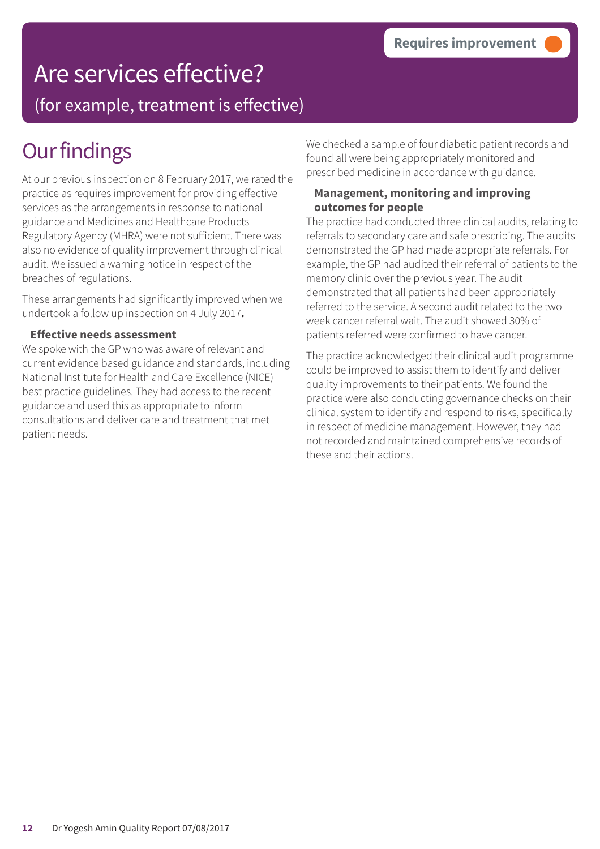# Are services effective?

(for example, treatment is effective)

## **Our findings**

At our previous inspection on 8 February 2017, we rated the practice as requires improvement for providing effective services as the arrangements in response to national guidance and Medicines and Healthcare Products Regulatory Agency (MHRA) were not sufficient. There was also no evidence of quality improvement through clinical audit. We issued a warning notice in respect of the breaches of regulations.

These arrangements had significantly improved when we undertook a follow up inspection on 4 July 2017**.**

#### **Effective needs assessment**

We spoke with the GP who was aware of relevant and current evidence based guidance and standards, including National Institute for Health and Care Excellence (NICE) best practice guidelines. They had access to the recent guidance and used this as appropriate to inform consultations and deliver care and treatment that met patient needs.

We checked a sample of four diabetic patient records and found all were being appropriately monitored and prescribed medicine in accordance with guidance.

### **Management, monitoring and improving outcomes for people**

The practice had conducted three clinical audits, relating to referrals to secondary care and safe prescribing. The audits demonstrated the GP had made appropriate referrals. For example, the GP had audited their referral of patients to the memory clinic over the previous year. The audit demonstrated that all patients had been appropriately referred to the service. A second audit related to the two week cancer referral wait. The audit showed 30% of patients referred were confirmed to have cancer.

The practice acknowledged their clinical audit programme could be improved to assist them to identify and deliver quality improvements to their patients. We found the practice were also conducting governance checks on their clinical system to identify and respond to risks, specifically in respect of medicine management. However, they had not recorded and maintained comprehensive records of these and their actions.